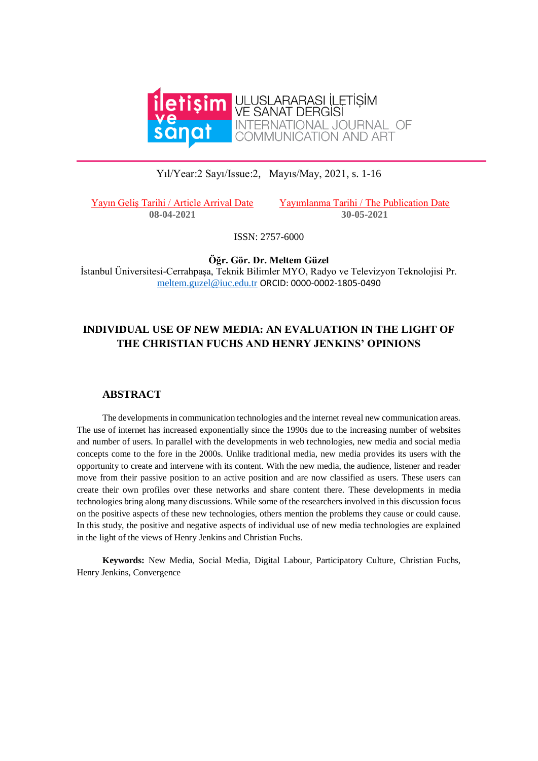

## Yıl/Year:2 Sayı/Issue:2, Mayıs/May, 2021, s. 1-16

Yayın Geliş Tarihi / Article Arrival Date Yayımlanma Tarihi / The Publication Date **08-04-2021 30-05-2021**

ISSN: 2757-6000

**Öğr. Gör. Dr. Meltem Güzel** İstanbul Üniversitesi-Cerrahpaşa, Teknik Bilimler MYO, Radyo ve Televizyon Teknolojisi Pr. [meltem.guzel@iuc.edu.tr](mailto:meltem.guzel@iuc.edu.tr) ORCID: 0000-0002-1805-0490

# **INDIVIDUAL USE OF NEW MEDIA: AN EVALUATION IN THE LIGHT OF THE CHRISTIAN FUCHS AND HENRY JENKINS' OPINIONS**

#### **ABSTRACT**

The developments in communication technologies and the internet reveal new communication areas. The use of internet has increased exponentially since the 1990s due to the increasing number of websites and number of users. In parallel with the developments in web technologies, new media and social media concepts come to the fore in the 2000s. Unlike traditional media, new media provides its users with the opportunity to create and intervene with its content. With the new media, the audience, listener and reader move from their passive position to an active position and are now classified as users. These users can create their own profiles over these networks and share content there. These developments in media technologies bring along many discussions. While some of the researchers involved in this discussion focus on the positive aspects of these new technologies, others mention the problems they cause or could cause. In this study, the positive and negative aspects of individual use of new media technologies are explained in the light of the views of Henry Jenkins and Christian Fuchs.

**Keywords:** New Media, Social Media, Digital Labour, Participatory Culture, Christian Fuchs, Henry Jenkins, Convergence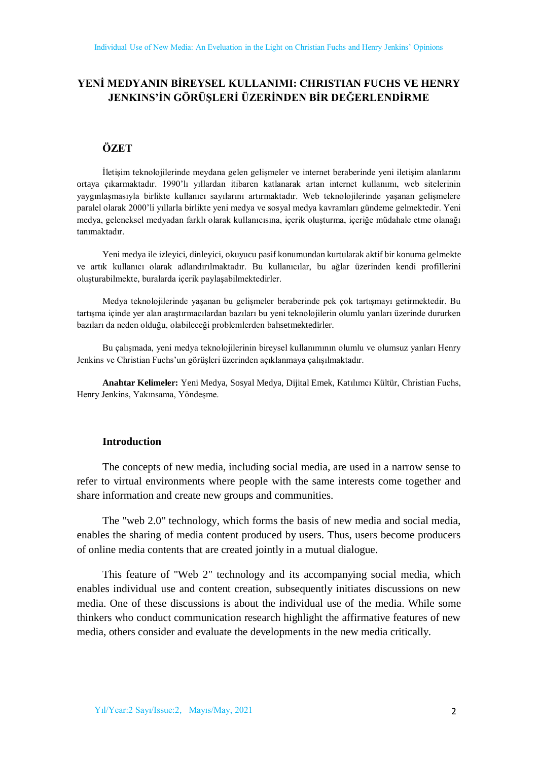# **YENİ MEDYANIN BİREYSEL KULLANIMI: CHRISTIAN FUCHS VE HENRY JENKINS'İN GÖRÜŞLERİ ÜZERİNDEN BİR DEĞERLENDİRME**

## **ÖZET**

İletişim teknolojilerinde meydana gelen gelişmeler ve internet beraberinde yeni iletişim alanlarını ortaya çıkarmaktadır. 1990'lı yıllardan itibaren katlanarak artan internet kullanımı, web sitelerinin yaygınlaşmasıyla birlikte kullanıcı sayılarını artırmaktadır. Web teknolojilerinde yaşanan gelişmelere paralel olarak 2000'li yıllarla birlikte yeni medya ve sosyal medya kavramları gündeme gelmektedir. Yeni medya, geleneksel medyadan farklı olarak kullanıcısına, içerik oluşturma, içeriğe müdahale etme olanağı tanımaktadır.

Yeni medya ile izleyici, dinleyici, okuyucu pasif konumundan kurtularak aktif bir konuma gelmekte ve artık kullanıcı olarak adlandırılmaktadır. Bu kullanıcılar, bu ağlar üzerinden kendi profillerini oluşturabilmekte, buralarda içerik paylaşabilmektedirler.

Medya teknolojilerinde yaşanan bu gelişmeler beraberinde pek çok tartışmayı getirmektedir. Bu tartışma içinde yer alan araştırmacılardan bazıları bu yeni teknolojilerin olumlu yanları üzerinde dururken bazıları da neden olduğu, olabileceği problemlerden bahsetmektedirler.

Bu çalışmada, yeni medya teknolojilerinin bireysel kullanımının olumlu ve olumsuz yanları Henry Jenkins ve Christian Fuchs'un görüşleri üzerinden açıklanmaya çalışılmaktadır.

**Anahtar Kelimeler:** Yeni Medya, Sosyal Medya, Dijital Emek, Katılımcı Kültür, Christian Fuchs, Henry Jenkins, Yakınsama, Yöndeşme.

#### **Introduction**

The concepts of new media, including social media, are used in a narrow sense to refer to virtual environments where people with the same interests come together and share information and create new groups and communities.

The "web 2.0" technology, which forms the basis of new media and social media, enables the sharing of media content produced by users. Thus, users become producers of online media contents that are created jointly in a mutual dialogue.

This feature of "Web 2" technology and its accompanying social media, which enables individual use and content creation, subsequently initiates discussions on new media. One of these discussions is about the individual use of the media. While some thinkers who conduct communication research highlight the affirmative features of new media, others consider and evaluate the developments in the new media critically.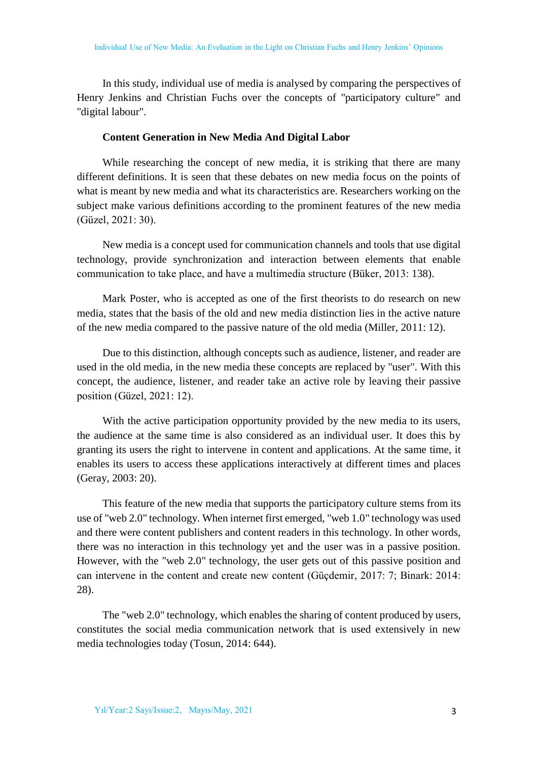In this study, individual use of media is analysed by comparing the perspectives of Henry Jenkins and Christian Fuchs over the concepts of "participatory culture" and "digital labour".

#### **Content Generation in New Media And Digital Labor**

While researching the concept of new media, it is striking that there are many different definitions. It is seen that these debates on new media focus on the points of what is meant by new media and what its characteristics are. Researchers working on the subject make various definitions according to the prominent features of the new media (Güzel, 2021: 30).

New media is a concept used for communication channels and tools that use digital technology, provide synchronization and interaction between elements that enable communication to take place, and have a multimedia structure (Büker, 2013: 138).

Mark Poster, who is accepted as one of the first theorists to do research on new media, states that the basis of the old and new media distinction lies in the active nature of the new media compared to the passive nature of the old media (Miller, 2011: 12).

Due to this distinction, although concepts such as audience, listener, and reader are used in the old media, in the new media these concepts are replaced by "user". With this concept, the audience, listener, and reader take an active role by leaving their passive position (Güzel, 2021: 12).

With the active participation opportunity provided by the new media to its users, the audience at the same time is also considered as an individual user. It does this by granting its users the right to intervene in content and applications. At the same time, it enables its users to access these applications interactively at different times and places (Geray, 2003: 20).

This feature of the new media that supports the participatory culture stems from its use of "web 2.0" technology. When internet first emerged, "web 1.0" technology was used and there were content publishers and content readers in this technology. In other words, there was no interaction in this technology yet and the user was in a passive position. However, with the "web 2.0" technology, the user gets out of this passive position and can intervene in the content and create new content (Güçdemir, 2017: 7; Binark: 2014: 28).

The "web 2.0" technology, which enables the sharing of content produced by users, constitutes the social media communication network that is used extensively in new media technologies today (Tosun, 2014: 644).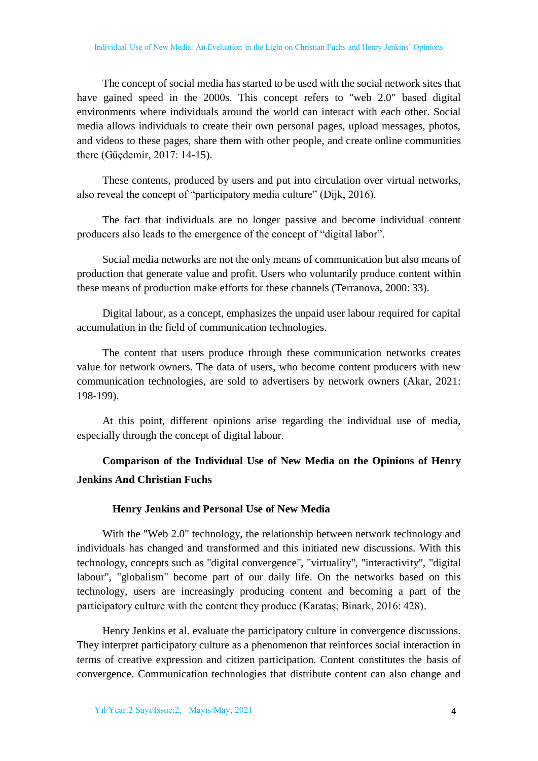The concept of social media has started to be used with the social network sites that have gained speed in the 2000s. This concept refers to "web 2.0" based digital environments where individuals around the world can interact with each other. Social media allows individuals to create their own personal pages, upload messages, photos, and videos to these pages, share them with other people, and create online communities there (Güçdemir, 2017: 14-15).

These contents, produced by users and put into circulation over virtual networks, also reveal the concept of "participatory media culture" (Dijk, 2016).

The fact that individuals are no longer passive and become individual content producers also leads to the emergence of the concept of "digital labor".

Social media networks are not the only means of communication but also means of production that generate value and profit. Users who voluntarily produce content within these means of production make efforts for these channels (Terranova, 2000: 33).

Digital labour, as a concept, emphasizes the unpaid user labour required for capital accumulation in the field of communication technologies.

The content that users produce through these communication networks creates value for network owners. The data of users, who become content producers with new communication technologies, are sold to advertisers by network owners (Akar, 2021: 198-199).

At this point, different opinions arise regarding the individual use of media, especially through the concept of digital labour.

# **Comparison of the Individual Use of New Media on the Opinions of Henry Jenkins And Christian Fuchs**

#### **Henry Jenkins and Personal Use of New Media**

With the "Web 2.0" technology, the relationship between network technology and individuals has changed and transformed and this initiated new discussions. With this technology, concepts such as "digital convergence", "virtuality", "interactivity", "digital labour", "globalism" become part of our daily life. On the networks based on this technology, users are increasingly producing content and becoming a part of the participatory culture with the content they produce (Karataş; Binark, 2016: 428).

Henry Jenkins et al. evaluate the participatory culture in convergence discussions. They interpret participatory culture as a phenomenon that reinforces social interaction in terms of creative expression and citizen participation. Content constitutes the basis of convergence. Communication technologies that distribute content can also change and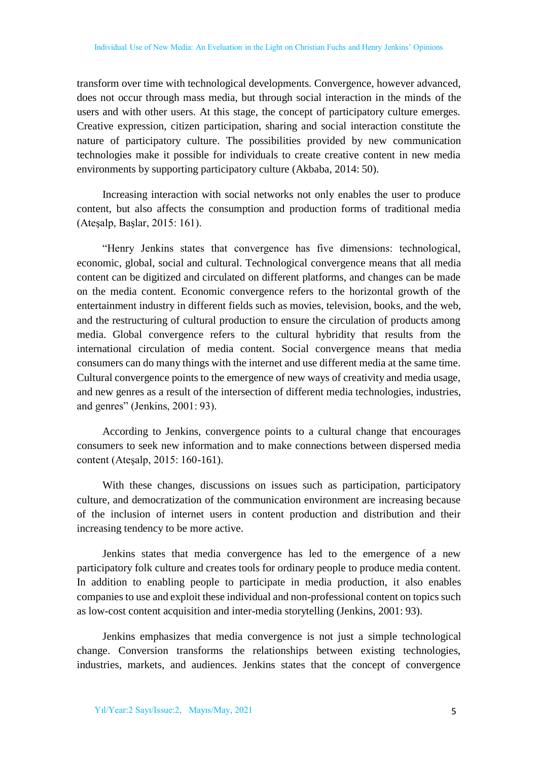transform over time with technological developments. Convergence, however advanced, does not occur through mass media, but through social interaction in the minds of the users and with other users. At this stage, the concept of participatory culture emerges. Creative expression, citizen participation, sharing and social interaction constitute the nature of participatory culture. The possibilities provided by new communication technologies make it possible for individuals to create creative content in new media environments by supporting participatory culture (Akbaba, 2014: 50).

Increasing interaction with social networks not only enables the user to produce content, but also affects the consumption and production forms of traditional media (Ateşalp, Başlar, 2015: 161).

"Henry Jenkins states that convergence has five dimensions: technological, economic, global, social and cultural. Technological convergence means that all media content can be digitized and circulated on different platforms, and changes can be made on the media content. Economic convergence refers to the horizontal growth of the entertainment industry in different fields such as movies, television, books, and the web, and the restructuring of cultural production to ensure the circulation of products among media. Global convergence refers to the cultural hybridity that results from the international circulation of media content. Social convergence means that media consumers can do many things with the internet and use different media at the same time. Cultural convergence points to the emergence of new ways of creativity and media usage, and new genres as a result of the intersection of different media technologies, industries, and genres" (Jenkins, 2001: 93).

According to Jenkins, convergence points to a cultural change that encourages consumers to seek new information and to make connections between dispersed media content (Ateşalp, 2015: 160-161).

With these changes, discussions on issues such as participation, participatory culture, and democratization of the communication environment are increasing because of the inclusion of internet users in content production and distribution and their increasing tendency to be more active.

Jenkins states that media convergence has led to the emergence of a new participatory folk culture and creates tools for ordinary people to produce media content. In addition to enabling people to participate in media production, it also enables companies to use and exploit these individual and non-professional content on topics such as low-cost content acquisition and inter-media storytelling (Jenkins, 2001: 93).

Jenkins emphasizes that media convergence is not just a simple technological change. Conversion transforms the relationships between existing technologies, industries, markets, and audiences. Jenkins states that the concept of convergence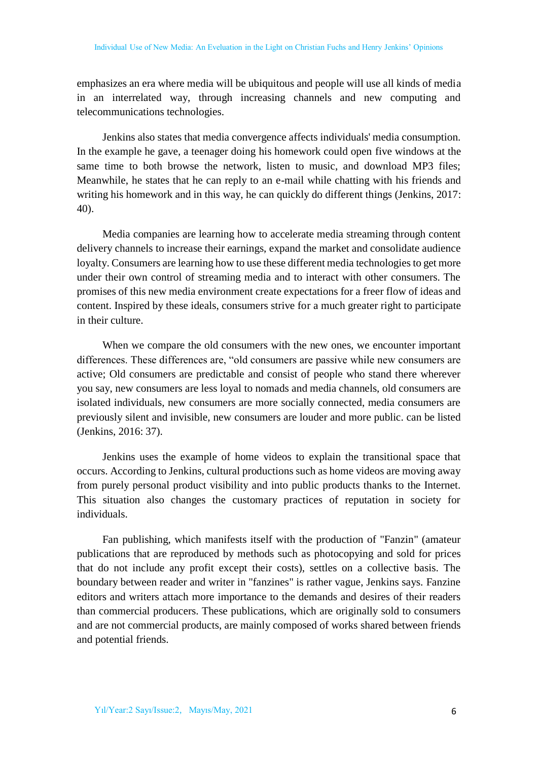emphasizes an era where media will be ubiquitous and people will use all kinds of media in an interrelated way, through increasing channels and new computing and telecommunications technologies.

Jenkins also states that media convergence affects individuals' media consumption. In the example he gave, a teenager doing his homework could open five windows at the same time to both browse the network, listen to music, and download MP3 files; Meanwhile, he states that he can reply to an e-mail while chatting with his friends and writing his homework and in this way, he can quickly do different things (Jenkins, 2017: 40).

Media companies are learning how to accelerate media streaming through content delivery channels to increase their earnings, expand the market and consolidate audience loyalty. Consumers are learning how to use these different media technologies to get more under their own control of streaming media and to interact with other consumers. The promises of this new media environment create expectations for a freer flow of ideas and content. Inspired by these ideals, consumers strive for a much greater right to participate in their culture.

When we compare the old consumers with the new ones, we encounter important differences. These differences are, "old consumers are passive while new consumers are active; Old consumers are predictable and consist of people who stand there wherever you say, new consumers are less loyal to nomads and media channels, old consumers are isolated individuals, new consumers are more socially connected, media consumers are previously silent and invisible, new consumers are louder and more public. can be listed (Jenkins, 2016: 37).

Jenkins uses the example of home videos to explain the transitional space that occurs. According to Jenkins, cultural productions such as home videos are moving away from purely personal product visibility and into public products thanks to the Internet. This situation also changes the customary practices of reputation in society for individuals.

Fan publishing, which manifests itself with the production of "Fanzin" (amateur publications that are reproduced by methods such as photocopying and sold for prices that do not include any profit except their costs), settles on a collective basis. The boundary between reader and writer in "fanzines" is rather vague, Jenkins says. Fanzine editors and writers attach more importance to the demands and desires of their readers than commercial producers. These publications, which are originally sold to consumers and are not commercial products, are mainly composed of works shared between friends and potential friends.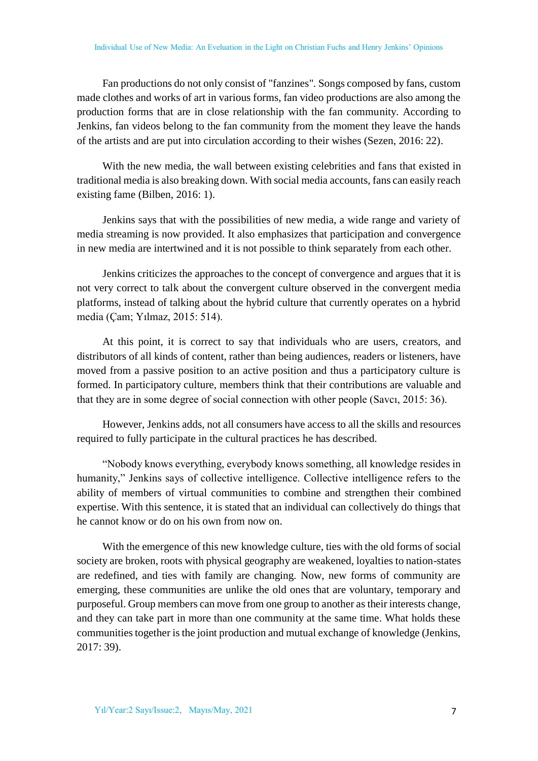Fan productions do not only consist of "fanzines". Songs composed by fans, custom made clothes and works of art in various forms, fan video productions are also among the production forms that are in close relationship with the fan community. According to Jenkins, fan videos belong to the fan community from the moment they leave the hands of the artists and are put into circulation according to their wishes (Sezen, 2016: 22).

With the new media, the wall between existing celebrities and fans that existed in traditional media is also breaking down. With social media accounts, fans can easily reach existing fame (Bilben, 2016: 1).

Jenkins says that with the possibilities of new media, a wide range and variety of media streaming is now provided. It also emphasizes that participation and convergence in new media are intertwined and it is not possible to think separately from each other.

Jenkins criticizes the approaches to the concept of convergence and argues that it is not very correct to talk about the convergent culture observed in the convergent media platforms, instead of talking about the hybrid culture that currently operates on a hybrid media (Çam; Yılmaz, 2015: 514).

At this point, it is correct to say that individuals who are users, creators, and distributors of all kinds of content, rather than being audiences, readers or listeners, have moved from a passive position to an active position and thus a participatory culture is formed. In participatory culture, members think that their contributions are valuable and that they are in some degree of social connection with other people (Savcı, 2015: 36).

However, Jenkins adds, not all consumers have access to all the skills and resources required to fully participate in the cultural practices he has described.

"Nobody knows everything, everybody knows something, all knowledge resides in humanity," Jenkins says of collective intelligence. Collective intelligence refers to the ability of members of virtual communities to combine and strengthen their combined expertise. With this sentence, it is stated that an individual can collectively do things that he cannot know or do on his own from now on.

With the emergence of this new knowledge culture, ties with the old forms of social society are broken, roots with physical geography are weakened, loyalties to nation-states are redefined, and ties with family are changing. Now, new forms of community are emerging, these communities are unlike the old ones that are voluntary, temporary and purposeful. Group members can move from one group to another as their interests change, and they can take part in more than one community at the same time. What holds these communities together is the joint production and mutual exchange of knowledge (Jenkins, 2017: 39).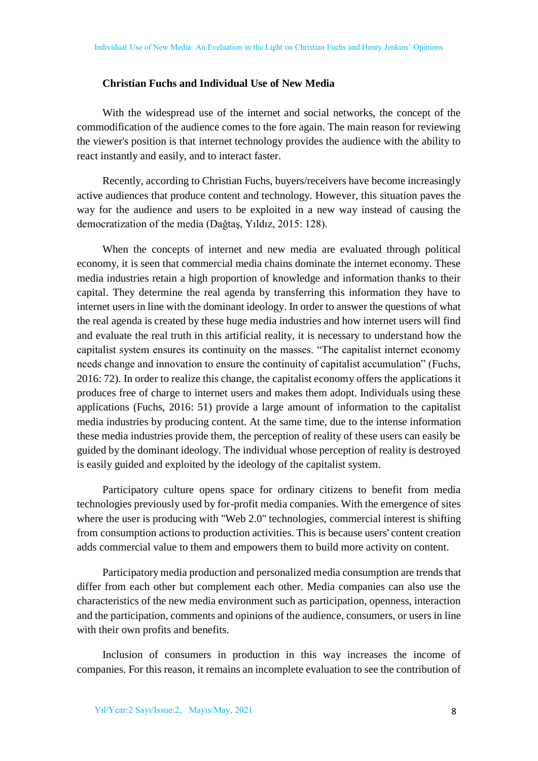#### **Christian Fuchs and Individual Use of New Media**

With the widespread use of the internet and social networks, the concept of the commodification of the audience comes to the fore again. The main reason for reviewing the viewer's position is that internet technology provides the audience with the ability to react instantly and easily, and to interact faster.

Recently, according to Christian Fuchs, buyers/receivers have become increasingly active audiences that produce content and technology. However, this situation paves the way for the audience and users to be exploited in a new way instead of causing the democratization of the media (Dağtaş, Yıldız, 2015: 128).

When the concepts of internet and new media are evaluated through political economy, it is seen that commercial media chains dominate the internet economy. These media industries retain a high proportion of knowledge and information thanks to their capital. They determine the real agenda by transferring this information they have to internet users in line with the dominant ideology. In order to answer the questions of what the real agenda is created by these huge media industries and how internet users will find and evaluate the real truth in this artificial reality, it is necessary to understand how the capitalist system ensures its continuity on the masses. "The capitalist internet economy needs change and innovation to ensure the continuity of capitalist accumulation" (Fuchs, 2016: 72). In order to realize this change, the capitalist economy offers the applications it produces free of charge to internet users and makes them adopt. Individuals using these applications (Fuchs, 2016: 51) provide a large amount of information to the capitalist media industries by producing content. At the same time, due to the intense information these media industries provide them, the perception of reality of these users can easily be guided by the dominant ideology. The individual whose perception of reality is destroyed is easily guided and exploited by the ideology of the capitalist system.

Participatory culture opens space for ordinary citizens to benefit from media technologies previously used by for-profit media companies. With the emergence of sites where the user is producing with "Web 2.0" technologies, commercial interest is shifting from consumption actions to production activities. This is because users' content creation adds commercial value to them and empowers them to build more activity on content.

Participatory media production and personalized media consumption are trends that differ from each other but complement each other. Media companies can also use the characteristics of the new media environment such as participation, openness, interaction and the participation, comments and opinions of the audience, consumers, or users in line with their own profits and benefits.

Inclusion of consumers in production in this way increases the income of companies. For this reason, it remains an incomplete evaluation to see the contribution of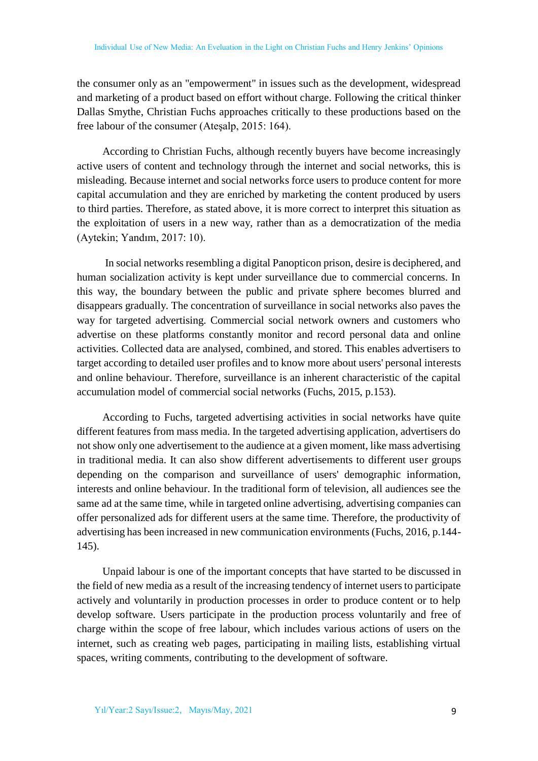the consumer only as an "empowerment" in issues such as the development, widespread and marketing of a product based on effort without charge. Following the critical thinker Dallas Smythe, Christian Fuchs approaches critically to these productions based on the free labour of the consumer (Ateşalp, 2015: 164).

According to Christian Fuchs, although recently buyers have become increasingly active users of content and technology through the internet and social networks, this is misleading. Because internet and social networks force users to produce content for more capital accumulation and they are enriched by marketing the content produced by users to third parties. Therefore, as stated above, it is more correct to interpret this situation as the exploitation of users in a new way, rather than as a democratization of the media (Aytekin; Yandım, 2017: 10).

In social networks resembling a digital Panopticon prison, desire is deciphered, and human socialization activity is kept under surveillance due to commercial concerns. In this way, the boundary between the public and private sphere becomes blurred and disappears gradually. The concentration of surveillance in social networks also paves the way for targeted advertising. Commercial social network owners and customers who advertise on these platforms constantly monitor and record personal data and online activities. Collected data are analysed, combined, and stored. This enables advertisers to target according to detailed user profiles and to know more about users' personal interests and online behaviour. Therefore, surveillance is an inherent characteristic of the capital accumulation model of commercial social networks (Fuchs, 2015, p.153).

According to Fuchs, targeted advertising activities in social networks have quite different features from mass media. In the targeted advertising application, advertisers do not show only one advertisement to the audience at a given moment, like mass advertising in traditional media. It can also show different advertisements to different user groups depending on the comparison and surveillance of users' demographic information, interests and online behaviour. In the traditional form of television, all audiences see the same ad at the same time, while in targeted online advertising, advertising companies can offer personalized ads for different users at the same time. Therefore, the productivity of advertising has been increased in new communication environments (Fuchs, 2016, p.144- 145).

Unpaid labour is one of the important concepts that have started to be discussed in the field of new media as a result of the increasing tendency of internet users to participate actively and voluntarily in production processes in order to produce content or to help develop software. Users participate in the production process voluntarily and free of charge within the scope of free labour, which includes various actions of users on the internet, such as creating web pages, participating in mailing lists, establishing virtual spaces, writing comments, contributing to the development of software.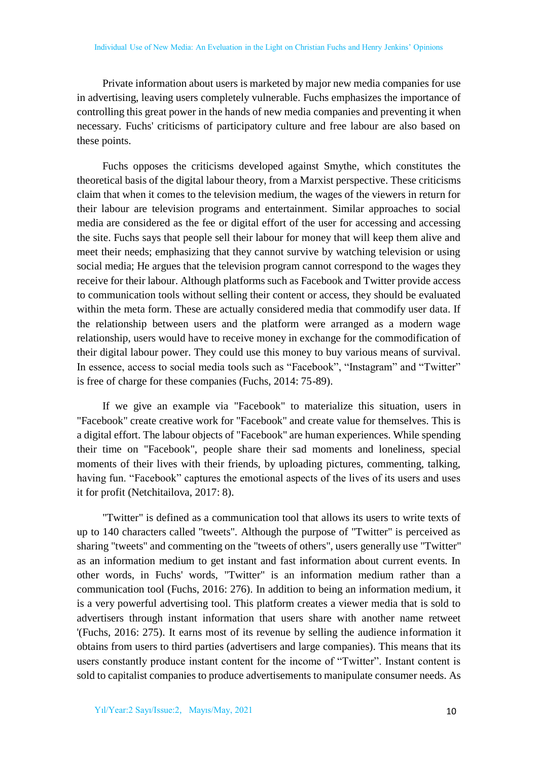Private information about users is marketed by major new media companies for use in advertising, leaving users completely vulnerable. Fuchs emphasizes the importance of controlling this great power in the hands of new media companies and preventing it when necessary. Fuchs' criticisms of participatory culture and free labour are also based on these points.

Fuchs opposes the criticisms developed against Smythe, which constitutes the theoretical basis of the digital labour theory, from a Marxist perspective. These criticisms claim that when it comes to the television medium, the wages of the viewers in return for their labour are television programs and entertainment. Similar approaches to social media are considered as the fee or digital effort of the user for accessing and accessing the site. Fuchs says that people sell their labour for money that will keep them alive and meet their needs; emphasizing that they cannot survive by watching television or using social media; He argues that the television program cannot correspond to the wages they receive for their labour. Although platforms such as Facebook and Twitter provide access to communication tools without selling their content or access, they should be evaluated within the meta form. These are actually considered media that commodify user data. If the relationship between users and the platform were arranged as a modern wage relationship, users would have to receive money in exchange for the commodification of their digital labour power. They could use this money to buy various means of survival. In essence, access to social media tools such as "Facebook", "Instagram" and "Twitter" is free of charge for these companies (Fuchs, 2014: 75-89).

If we give an example via "Facebook" to materialize this situation, users in "Facebook" create creative work for "Facebook" and create value for themselves. This is a digital effort. The labour objects of "Facebook" are human experiences. While spending their time on "Facebook", people share their sad moments and loneliness, special moments of their lives with their friends, by uploading pictures, commenting, talking, having fun. "Facebook" captures the emotional aspects of the lives of its users and uses it for profit (Netchitailova, 2017: 8).

"Twitter" is defined as a communication tool that allows its users to write texts of up to 140 characters called "tweets". Although the purpose of "Twitter" is perceived as sharing "tweets" and commenting on the "tweets of others", users generally use "Twitter" as an information medium to get instant and fast information about current events. In other words, in Fuchs' words, "Twitter" is an information medium rather than a communication tool (Fuchs, 2016: 276). In addition to being an information medium, it is a very powerful advertising tool. This platform creates a viewer media that is sold to advertisers through instant information that users share with another name retweet '(Fuchs, 2016: 275). It earns most of its revenue by selling the audience information it obtains from users to third parties (advertisers and large companies). This means that its users constantly produce instant content for the income of "Twitter". Instant content is sold to capitalist companies to produce advertisements to manipulate consumer needs. As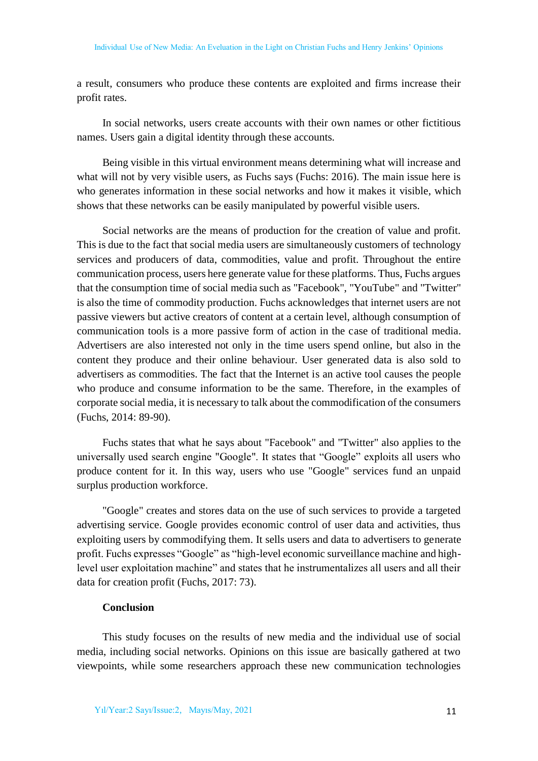a result, consumers who produce these contents are exploited and firms increase their profit rates.

In social networks, users create accounts with their own names or other fictitious names. Users gain a digital identity through these accounts.

Being visible in this virtual environment means determining what will increase and what will not by very visible users, as Fuchs says (Fuchs: 2016). The main issue here is who generates information in these social networks and how it makes it visible, which shows that these networks can be easily manipulated by powerful visible users.

Social networks are the means of production for the creation of value and profit. This is due to the fact that social media users are simultaneously customers of technology services and producers of data, commodities, value and profit. Throughout the entire communication process, users here generate value for these platforms. Thus, Fuchs argues that the consumption time of social media such as "Facebook", "YouTube" and "Twitter" is also the time of commodity production. Fuchs acknowledges that internet users are not passive viewers but active creators of content at a certain level, although consumption of communication tools is a more passive form of action in the case of traditional media. Advertisers are also interested not only in the time users spend online, but also in the content they produce and their online behaviour. User generated data is also sold to advertisers as commodities. The fact that the Internet is an active tool causes the people who produce and consume information to be the same. Therefore, in the examples of corporate social media, it is necessary to talk about the commodification of the consumers (Fuchs, 2014: 89-90).

Fuchs states that what he says about "Facebook" and "Twitter" also applies to the universally used search engine "Google". It states that "Google" exploits all users who produce content for it. In this way, users who use "Google" services fund an unpaid surplus production workforce.

"Google" creates and stores data on the use of such services to provide a targeted advertising service. Google provides economic control of user data and activities, thus exploiting users by commodifying them. It sells users and data to advertisers to generate profit. Fuchs expresses "Google" as "high-level economic surveillance machine and highlevel user exploitation machine" and states that he instrumentalizes all users and all their data for creation profit (Fuchs, 2017: 73).

## **Conclusion**

This study focuses on the results of new media and the individual use of social media, including social networks. Opinions on this issue are basically gathered at two viewpoints, while some researchers approach these new communication technologies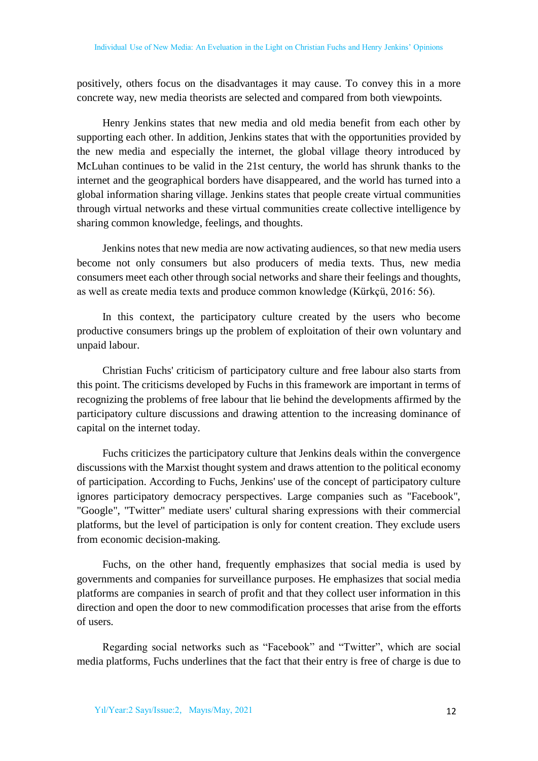positively, others focus on the disadvantages it may cause. To convey this in a more concrete way, new media theorists are selected and compared from both viewpoints.

Henry Jenkins states that new media and old media benefit from each other by supporting each other. In addition, Jenkins states that with the opportunities provided by the new media and especially the internet, the global village theory introduced by McLuhan continues to be valid in the 21st century, the world has shrunk thanks to the internet and the geographical borders have disappeared, and the world has turned into a global information sharing village. Jenkins states that people create virtual communities through virtual networks and these virtual communities create collective intelligence by sharing common knowledge, feelings, and thoughts.

Jenkins notes that new media are now activating audiences, so that new media users become not only consumers but also producers of media texts. Thus, new media consumers meet each other through social networks and share their feelings and thoughts, as well as create media texts and produce common knowledge (Kürkçü, 2016: 56).

In this context, the participatory culture created by the users who become productive consumers brings up the problem of exploitation of their own voluntary and unpaid labour.

Christian Fuchs' criticism of participatory culture and free labour also starts from this point. The criticisms developed by Fuchs in this framework are important in terms of recognizing the problems of free labour that lie behind the developments affirmed by the participatory culture discussions and drawing attention to the increasing dominance of capital on the internet today.

Fuchs criticizes the participatory culture that Jenkins deals within the convergence discussions with the Marxist thought system and draws attention to the political economy of participation. According to Fuchs, Jenkins' use of the concept of participatory culture ignores participatory democracy perspectives. Large companies such as "Facebook", "Google", "Twitter" mediate users' cultural sharing expressions with their commercial platforms, but the level of participation is only for content creation. They exclude users from economic decision-making.

Fuchs, on the other hand, frequently emphasizes that social media is used by governments and companies for surveillance purposes. He emphasizes that social media platforms are companies in search of profit and that they collect user information in this direction and open the door to new commodification processes that arise from the efforts of users.

Regarding social networks such as "Facebook" and "Twitter", which are social media platforms, Fuchs underlines that the fact that their entry is free of charge is due to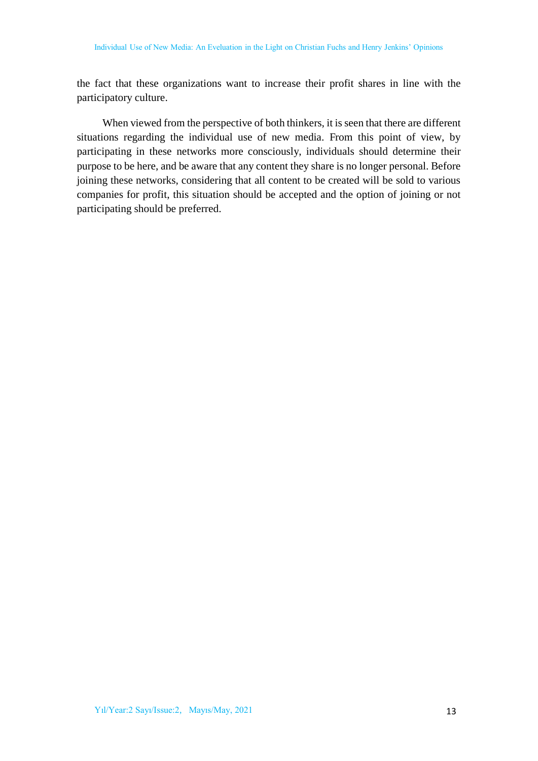the fact that these organizations want to increase their profit shares in line with the participatory culture.

When viewed from the perspective of both thinkers, it is seen that there are different situations regarding the individual use of new media. From this point of view, by participating in these networks more consciously, individuals should determine their purpose to be here, and be aware that any content they share is no longer personal. Before joining these networks, considering that all content to be created will be sold to various companies for profit, this situation should be accepted and the option of joining or not participating should be preferred.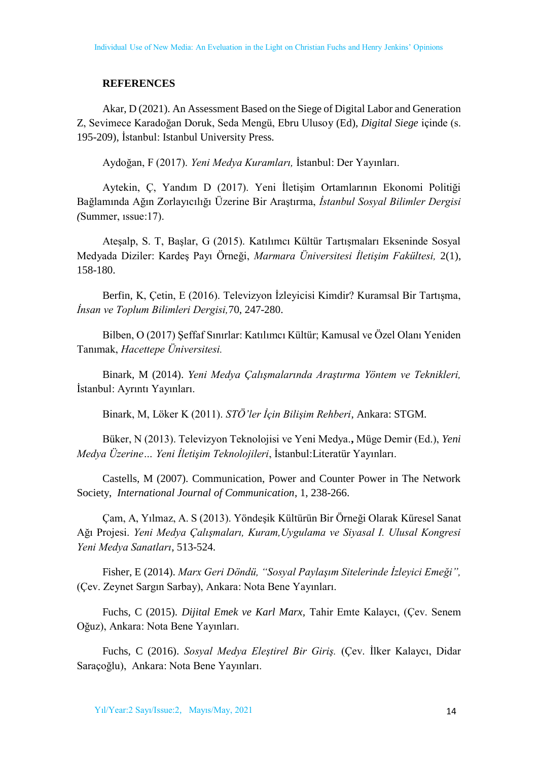#### **REFERENCES**

Akar, D (2021). [An Assessment Based on the Siege of Digital Labor and Generation](https://iupress.istanbul.edu.tr/book/digital-siege/chapter/an-assessment-based-on-the-siege-of-digital-labor-and-generation-z)  [Z,](https://iupress.istanbul.edu.tr/book/digital-siege/chapter/an-assessment-based-on-the-siege-of-digital-labor-and-generation-z) Sevimece Karadoğan Doruk, Seda Mengü, Ebru Ulusoy (Ed), *Digital Siege* içinde (s. 195-209), İstanbul: Istanbul University Press.

Aydoğan, F (2017). *Yeni Medya Kuramları,* İstanbul: Der Yayınları.

Aytekin, Ç, Yandım D (2017). Yeni İletişim Ortamlarının Ekonomi Politiği Bağlamında Ağın Zorlayıcılığı Üzerine Bir Araştırma, *İstanbul Sosyal Bilimler Dergisi (*Summer, ıssue:17).

Ateşalp, S. T, Başlar, G (2015). Katılımcı Kültür Tartışmaları Ekseninde Sosyal Medyada Diziler: Kardeş Payı Örneği, *Marmara Üniversitesi İletişim Fakültesi,* 2(1), 158-180.

Berfin, K, Çetin, E (2016). Televizyon İzleyicisi Kimdir? Kuramsal Bir Tartışma, *İnsan ve Toplum Bilimleri Dergisi,*70, 247-280.

Bilben, O (2017) Şeffaf Sınırlar: Katılımcı Kültür; Kamusal ve Özel Olanı Yeniden Tanımak, *Hacettepe Üniversitesi.* 

Binark, M (2014). *Yeni Medya Çalışmalarında Araştırma Yöntem ve Teknikleri,* İstanbul: Ayrıntı Yayınları.

Binark, M, Löker K (2011). *STÖ'ler İçin Bilişim Rehberi*, Ankara: STGM.

Büker, N (2013). Televizyon Teknolojisi ve Yeni Medya.**,** Müge Demir (Ed.), *Yeni Medya Üzerine… Yeni İletişim Teknolojileri*, İstanbul:Literatür Yayınları.

Castells, M (2007). Communication, Power and Counter Power in The Network Society, *International Journal of Communication*, 1, 238-266.

Çam, A, Yılmaz, A. S (2013). Yöndeşik Kültürün Bir Örneği Olarak Küresel Sanat Ağı Projesi. *Yeni Medya Çalışmaları, Kuram,Uygulama ve Siyasal I. Ulusal Kongresi Yeni Medya Sanatları*, 513-524.

Fisher, E (2014). *Marx Geri Döndü, "Sosyal Paylaşım Sitelerinde İzleyici Emeği",* (Çev. Zeynet Sargın Sarbay), Ankara: Nota Bene Yayınları.

Fuchs, C (2015). *Dijital Emek ve Karl Marx,* Tahir Emte Kalaycı, (Çev. Senem Oğuz), Ankara: Nota Bene Yayınları.

Fuchs, C (2016). *Sosyal Medya Eleştirel Bir Giriş.* (Çev. İlker Kalaycı, Didar Saraçoğlu), Ankara: Nota Bene Yayınları.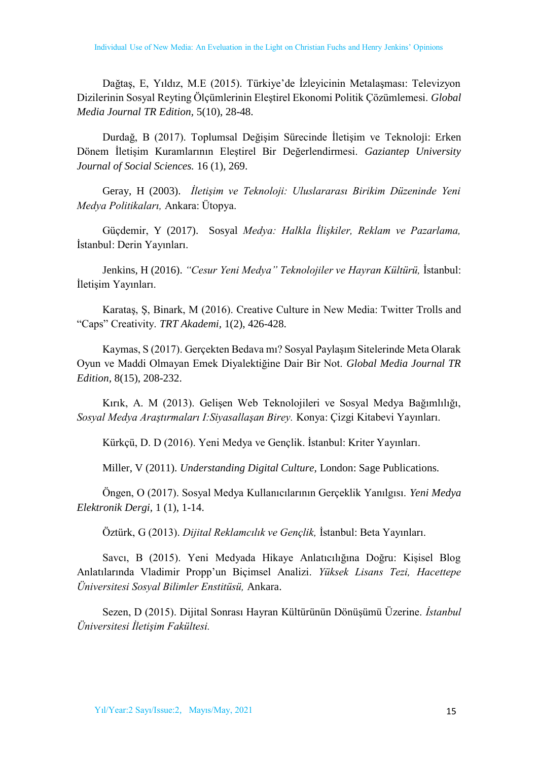Dağtaş, E, Yıldız, M.E (2015). Türkiye'de İzleyicinin Metalaşması: Televizyon Dizilerinin Sosyal Reyting Ölçümlerinin Eleştirel Ekonomi Politik Çözümlemesi. *Global Media Journal TR Edition,* 5(10), 28-48.

Durdağ, B (2017). Toplumsal Değişim Sürecinde İletişim ve Teknoloji: Erken Dönem İletişim Kuramlarının Eleştirel Bir Değerlendirmesi. *Gaziantep University Journal of Social Sciences.* 16 (1), 269.

Geray, H (2003). *İletişim ve Teknoloji: Uluslararası Birikim Düzeninde Yeni Medya Politikaları,* Ankara: Ütopya.

Güçdemir, Y (2017). Sosyal *Medya: Halkla İlişkiler, Reklam ve Pazarlama,* İstanbul: Derin Yayınları.

Jenkins, H (2016). *"Cesur Yeni Medya" Teknolojiler ve Hayran Kültürü,* İstanbul: İletişim Yayınları.

Karataş, Ş, Binark, M (2016). Creative Culture in New Media: Twitter Trolls and "Caps" Creativity. *TRT Akademi,* 1(2), 426-428.

Kaymas, S (2017). Gerçekten Bedava mı? Sosyal Paylaşım Sitelerinde Meta Olarak Oyun ve Maddi Olmayan Emek Diyalektiğine Dair Bir Not. *Global Media Journal TR Edition,* 8(15), 208-232.

Kırık, A. M (2013). Gelişen Web Teknolojileri ve Sosyal Medya Bağımlılığı, *Sosyal Medya Araştırmaları I:Siyasallaşan Birey.* Konya: Çizgi Kitabevi Yayınları.

Kürkçü, D. D (2016). Yeni Medya ve Gençlik. İstanbul: Kriter Yayınları.

Miller, V (2011). *Understanding Digital Culture,* London: Sage Publications.

Öngen, O (2017). Sosyal Medya Kullanıcılarının Gerçeklik Yanılgısı. *Yeni Medya Elektronik Dergi,* 1 (1), 1-14.

Öztürk, G (2013). *Dijital Reklamcılık ve Gençlik,* İstanbul: Beta Yayınları.

Savcı, B (2015). Yeni Medyada Hikaye Anlatıcılığına Doğru: Kişisel Blog Anlatılarında Vladimir Propp'un Biçimsel Analizi. *Yüksek Lisans Tezi, Hacettepe Üniversitesi Sosyal Bilimler Enstitüsü,* Ankara.

Sezen, D (2015). Dijital Sonrası Hayran Kültürünün Dönüşümü Üzerine. *İstanbul Üniversitesi İletişim Fakültesi.*